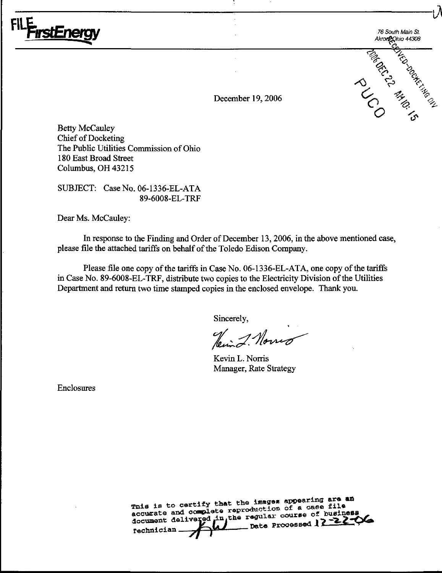

76 South Main St. Akroneghio 44308 **CONTRACTOR SOCIETY ROLL CONTRACTOR** 

December 19, 2006

**Betty McCauley Chief of Docketing** The Public Utilities Commission of Ohio 180 East Broad Street Columbus, OH 43215

SUBJECT: Case No. 06-1336-EL-ATA 89-6008-EL-TRF

Dear Ms. McCauley:

In response to the Finding and Order of December 13, 2006, in the above mentioned case, please file the attached tariffs on behalf of the Toledo Edison Company.

Please file one copy of the tariffs in Case No. 06-1336-EL-ATA, one copy of the tariffs in Case No. 89-6008-EL-TRF, distribute two copies to the Electricity Division of the Utilities Department and return two time stamped copies in the enclosed envelope. Thank you.

Sincerely,

Heim J. Norrig

Kevin L. Norris Manager, Rate Strategy

Enclosures

This is to certify that the images appearing are an accurate and complete reproduction of a case file document delivered in the regular course of business  $-$  Date Processed 12 -22 -06 Technician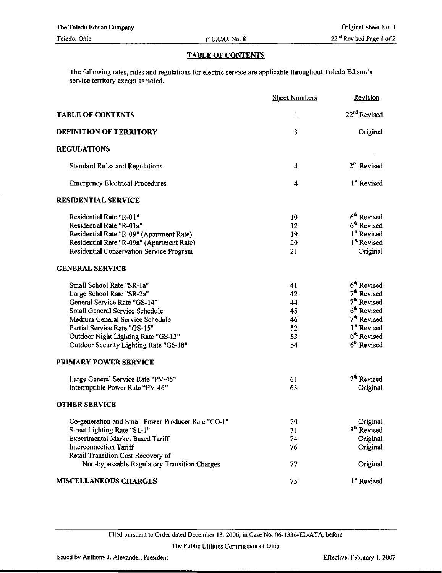## TABLE OF CONTENTS

The following rates, rules and regulations for electric service are applicable throughout Toledo Edison's service territory except as noted.

|                                                                                    | <b>Sheet Numbers</b> | Revision                 |
|------------------------------------------------------------------------------------|----------------------|--------------------------|
| <b>TABLE OF CONTENTS</b>                                                           | $\mathbf{1}$         | 22 <sup>nd</sup> Revised |
| DEFINITION OF TERRITORY                                                            | 3                    | Original                 |
| <b>REGULATIONS</b>                                                                 |                      |                          |
| <b>Standard Rules and Regulations</b>                                              | 4                    | 2 <sup>nd</sup> Revised  |
| <b>Emergency Electrical Procedures</b>                                             | 4                    | 1 <sup>st</sup> Revised  |
| <b>RESIDENTIAL SERVICE</b>                                                         |                      |                          |
| Residential Rate "R-01"                                                            | 10                   | 6 <sup>th</sup> Revised  |
| Residential Rate "R-01a"                                                           | 12                   | 6 <sup>th</sup> Revised  |
| Residential Rate "R-09" (Apartment Rate)                                           | 19                   | 1 <sup>st</sup> Revised  |
| Residential Rate "R-09a" (Apartment Rate)                                          | 20                   | 1 <sup>st</sup> Revised  |
| Residential Conservation Service Program                                           | 21                   | Original                 |
| <b>GENERAL SERVICE</b>                                                             |                      |                          |
| Small School Rate "SR-1a"                                                          | 41                   | 6 <sup>th</sup> Revised  |
| Large School Rate "SR-2a"                                                          | 42                   | 7 <sup>th</sup> Revised  |
| General Service Rate "GS-14"                                                       | 44                   | 7 <sup>th</sup> Revised  |
| Small General Service Schedule                                                     | 45                   | 6 <sup>th</sup> Revised  |
| Medium General Service Schedule                                                    | 46                   | 7 <sup>th</sup> Revised  |
| Partial Service Rate "GS-15"                                                       | 52                   | 1 <sup>st</sup> Revised  |
| Outdoor Night Lighting Rate "GS-13"                                                | 53                   | 6 <sup>th</sup> Revised  |
| Outdoor Security Lighting Rate "GS-18"                                             | 54                   | 6 <sup>th</sup> Revised  |
| PRIMARY POWER SERVICE                                                              |                      |                          |
| Large General Service Rate "PV-45"                                                 | 61                   | 7 <sup>th</sup> Revised  |
| Interruptible Power Rate "PV-46"                                                   | 63                   | Original                 |
| <b>OTHER SERVICE</b>                                                               |                      |                          |
| Co-generation and Small Power Producer Rate "CO-1"                                 | 70                   | Original                 |
| Street Lighting Rate "SL-1"                                                        | 71                   | 8 <sup>th</sup> Revised  |
| Experimental Market Based Tariff                                                   | 74                   | Original                 |
| <b>Interconnection Tariff</b>                                                      | 76                   | Original                 |
| Retail Transition Cost Recovery of<br>Non-bypassable Regulatory Transition Charges | 77                   | Original                 |
|                                                                                    |                      |                          |
| <b>MISCELLANEOUS CHARGES</b>                                                       | 75                   | 1 <sup>st</sup> Revised  |

Filed pursuant to Order dated December 13, 2006, in Case No. 06-1336-EL-ATA, before

The Public Utilities Commission of Ohio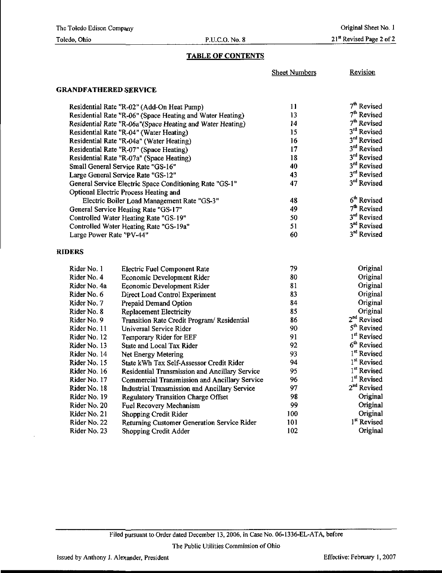## Toledo, Ohio P.U.C.O. No. 8

## TABLE OF CONTENTS

Sheet Numbers Revision

# GRANDFATHERED SERVICE

| Residential Rate "R-02" (Add-On Heat Pump)                | 11 | 7 <sup>th</sup> Revised |
|-----------------------------------------------------------|----|-------------------------|
| Residential Rate "R-06" (Space Heating and Water Heating) | 13 | $7th$ Revised           |
| Residential Rate "R-06a"(Space Heating and Water Heating) | 14 | $7th$ Revised           |
| Residential Rate "R-04" (Water Heating)                   | 15 | 3rd Revised             |
| Residential Rate "R-04a" (Water Heating)                  | 16 | 3 <sup>rd</sup> Revised |
| Residential Rate "R-07" (Space Heating)                   | 17 | 3 <sup>rd</sup> Revised |
| Residential Rate "R-07a" (Space Heating)                  | 18 | 3rd Revised             |
| Small General Service Rate "GS-16"                        | 40 | 3 <sup>rd</sup> Revised |
| Large General Service Rate "GS-12"                        | 43 | 3rd Revised             |
| General Service Electric Space Conditioning Rate "GS-1"   | 47 | 3rd Revised             |
| Optional Electric Process Heating and                     |    |                         |
| Electric Boiler Load Management Rate "GS-3"               | 48 | 6 <sup>th</sup> Revised |
| General Service Heating Rate "GS-17"                      | 49 | $7th$ Revised           |
| Controlled Water Heating Rate "GS-19"                     | 50 | 3rd Revised             |
| Controlled Water Heating Rate "GS-19a"                    | 51 | 3rd Revised             |
| Large Power Rate "PV-44"                                  | 60 | 3 <sup>rd</sup> Revised |

## RIDERS

| Rider No. 1  | <b>Electric Fuel Component Rate</b>                   | 79  | Original                |
|--------------|-------------------------------------------------------|-----|-------------------------|
| Rider No. 4  | Economic Development Rider                            | 80  | Original                |
| Rider No. 4a | Economic Development Rider                            | 81  | Original                |
| Rider No. 6  | Direct Load Control Experiment                        | 83  | Original                |
| Rider No. 7  | Prepaid Demand Option                                 | 84  | Original                |
| Rider No. 8  | <b>Replacement Electricity</b>                        | 85  | Original                |
| Rider No. 9  | Transition Rate Credit Program/Residential            | 86  | 2 <sup>nd</sup> Revised |
| Rider No. 11 | Universal Service Rider                               | 90  | 5 <sup>th</sup> Revised |
| Rider No. 12 | Temporary Rider for EEF                               | 91  | 1 <sup>st</sup> Revised |
| Rider No. 13 | State and Local Tax Rider                             | 92  | 6 <sup>th</sup> Revised |
| Rider No. 14 | Net Energy Metering                                   | 93  | 1 <sup>st</sup> Revised |
| Rider No. 15 | State kWh Tax Self-Assessor Credit Rider              | 94  | 1 <sup>st</sup> Revised |
| Rider No. 16 | <b>Residential Transmission and Ancillary Service</b> | 95  | 1 <sup>st</sup> Revised |
| Rider No. 17 | Commercial Transmission and Ancillary Service         | 96  | 1 <sup>st</sup> Revised |
| Rider No. 18 | Industrial Transmission and Ancillary Service         | 97  | 2 <sup>nd</sup> Revised |
| Rider No. 19 | <b>Regulatory Transition Charge Offset</b>            | 98. | Original                |
| Rider No. 20 | Fuel Recovery Mechanism                               | 99  | Original                |
| Rider No. 21 | Shopping Credit Rider                                 | 100 | Original                |
| Rider No. 22 | Returning Customer Generation Service Rider           | 101 | 1 <sup>st</sup> Revised |
| Rider No. 23 | Shopping Credit Adder                                 | 102 | Original                |

Filed pursuant to Order dated December 13, 2006, in Case No. 06-1336-EL-ATA before

The Public Utilities Commission of Ohio